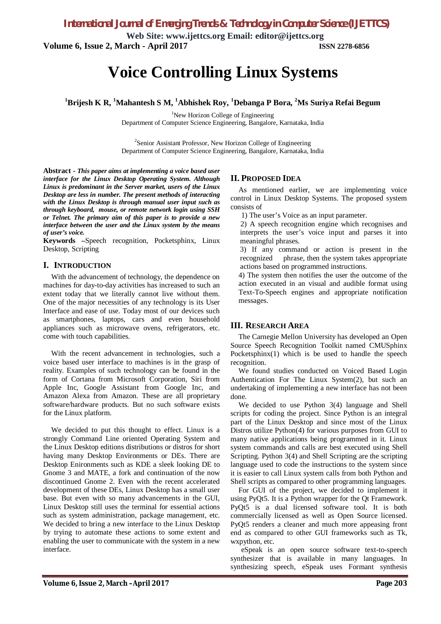*International Journal of Emerging Trends & Technology in Computer Science (IJETTCS)*

**Web Site: www.ijettcs.org Email: editor@ijettcs.org Volume 6, Issue 2, March - April 2017 ISSN 2278-6856**

# **Voice Controlling Linux Systems**

**<sup>1</sup>Brijesh K R, <sup>1</sup>Mahantesh S M, <sup>1</sup>Abhishek Roy, <sup>1</sup>Debanga P Bora, <sup>2</sup>Ms Suriya Refai Begum**

<sup>1</sup>New Horizon College of Engineering

Department of Computer Science Engineering, Bangalore, Karnataka, India

<sup>2</sup>Senior Assistant Professor, New Horizon College of Engineering Department of Computer Science Engineering, Bangalore, Karnataka, India

**Abstract -** *This paper aims at implementing a voice based user interface for the Linux Desktop Operating System. Although Linux is predominant in the Server market, users of the Linux Desktop are less in number. The present methods of interacting with the Linux Desktop is through manual user input such as through keyboard, mouse, or remote network login using SSH or Telnet. The primary aim of this paper is to provide a new interface between the user and the Linux system by the means of user's voice.*

**Keywords –**Speech recognition, Pocketsphinx, Linux Desktop, Scripting

#### **I. INTRODUCTION**

With the advancement of technology, the dependence on machines for day-to-day activities has increased to such an extent today that we literally cannot live without them. One of the major necessities of any technology is its User Interface and ease of use. Today most of our devices such as smartphones, laptops, cars and even household appliances such as microwave ovens, refrigerators, etc. come with touch capabilities.

With the recent advancement in technologies, such a voice based user interface to machines is in the grasp of reality. Examples of such technology can be found in the form of Cortana from Microsoft Corporation, Siri from Apple Inc, Google Assistant from Google Inc, and Amazon Alexa from Amazon. These are all proprietary software/hardware products. But no such software exists for the Linux platform.

We decided to put this thought to effect. Linux is a strongly Command Line oriented Operating System and the Linux Desktop editions distributions or distros for short having many Desktop Environments or DEs. There are Desktop Enironments such as KDE a sleek looking DE to Gnome 3 and MATE, a fork and continuation of the now discontinued Gnome 2. Even with the recent accelerated development of these DEs, Linux Desktop has a small user base. But even with so many advancements in the GUI, Linux Desktop still uses the terminal for essential actions such as system administration, package management, etc. We decided to bring a new interface to the Linux Desktop by trying to automate these actions to some extent and enabling the user to communicate with the system in a new interface.

### **II. PROPOSED IDEA**

As mentioned earlier, we are implementing voice control in Linux Desktop Systems. The proposed system consists of

1) The user's Voice as an input parameter.

2) A speech recognition engine which recognises and interprets the user's voice input and parses it into meaningful phrases.

3) If any command or action is present in the recognized phrase, then the system takes appropriate actions based on programmed instructions.

4) The system then notifies the user the outcome of the action executed in an visual and audible format using Text-To-Speech engines and appropriate notification messages.

#### **III. RESEARCH AREA**

The Carnegie Mellon University has developed an Open Source Speech Recognition Toolkit named CMUSphinx Pocketsphinx(1) which is be used to handle the speech recognition.

We found studies conducted on Voiced Based Login Authentication For The Linux System(2), but such an undertaking of implementing a new interface has not been done.

We decided to use Python 3(4) language and Shell scripts for coding the project. Since Python is an integral part of the Linux Desktop and since most of the Linux Distros utilize Python(4) for various purposes from GUI to many native applications being programmed in it. Linux system commands and calls are best executed using Shell Scripting. Python 3(4) and Shell Scripting are the scripting language used to code the instructions to the system since it is easier to call Linux system calls from both Python and Shell scripts as compared to other programming languages.

For GUI of the project, we decided to implement it using PyQt5. It is a Python wrapper for the Qt Framework. PyQt5 is a dual licensed software tool. It is both commercially licensed as well as Open Source licensed. PyQt5 renders a cleaner and much more appeasing front end as compared to other GUI frameworks such as Tk, wxpython, etc.

eSpeak is an open source software text-to-speech synthesizer that is available in many languages. In synthesizing speech, eSpeak uses Formant synthesis